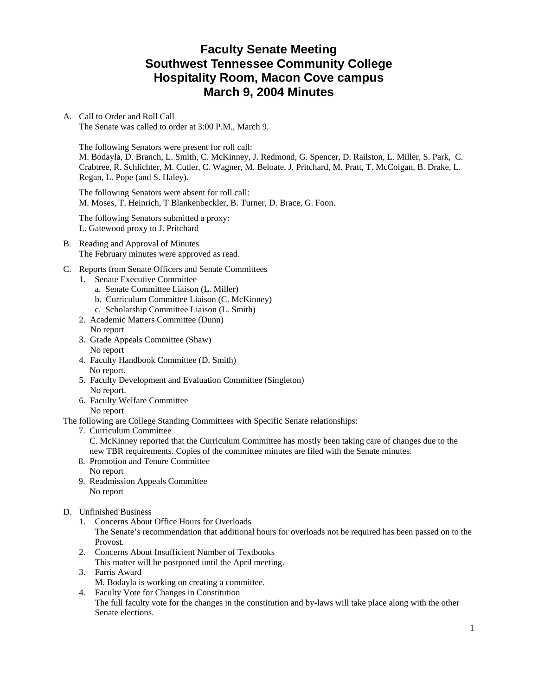# **Faculty Senate Meeting Southwest Tennessee Community College Hospitality Room, Macon Cove campus March 9, 2004 Minutes**

A. Call to Order and Roll Call The Senate was called to order at 3:00 P.M., March 9.

The following Senators were present for roll call: M. Bodayla, D. Branch, L. Smith, C. McKinney, J. Redmond, G. Spencer, D. Railston, L. Miller, S. Park, C. Crabtree, R. Schlichter, M. Cutler, C. Wagner, M. Beloate, J. Pritchard, M. Pratt, T. McColgan, B. Drake, L. Regan, L. Pope (and S. Haley).

The following Senators were absent for roll call: M. Moses, T. Heinrich, T Blankenbeckler, B. Turner, D. Brace, G. Foon.

The following Senators submitted a proxy: L. Gatewood proxy to J. Pritchard

B. Reading and Approval of Minutes The February minutes were approved as read.

### C. Reports from Senate Officers and Senate Committees

- 1. Senate Executive Committee
	- a. Senate Committee Liaison (L. Miller)
	- b. Curriculum Committee Liaison (C. McKinney)
	- c. Scholarship Committee Liaison (L. Smith)
- 2. Academic Matters Committee (Dunn)
- No report
- 3. Grade Appeals Committee (Shaw) No report
- 4. Faculty Handbook Committee (D. Smith) No report.
- 5. Faculty Development and Evaluation Committee (Singleton) No report.
- 6. Faculty Welfare Committee No report

The following are College Standing Committees with Specific Senate relationships:

7. Curriculum Committee

 C. McKinney reported that the Curriculum Committee has mostly been taking care of changes due to the new TBR requirements. Copies of the committee minutes are filed with the Senate minutes.

- 8. Promotion and Tenure Committee
- No report
- 9. Readmission Appeals Committee No report
- D. Unfinished Business
	- 1. Concerns About Office Hours for Overloads The Senate's recommendation that additional hours for overloads not be required has been passed on to the Provost.
	- 2. Concerns About Insufficient Number of Textbooks This matter will be postponed until the April meeting.
	- 3. Farris Award M. Bodayla is working on creating a committee.
	- 4. Faculty Vote for Changes in Constitution

The full faculty vote for the changes in the constitution and by-laws will take place along with the other Senate elections.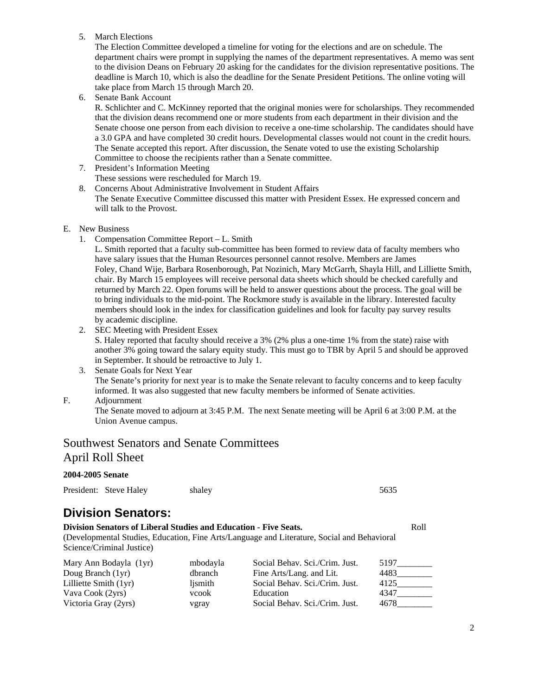5. March Elections

The Election Committee developed a timeline for voting for the elections and are on schedule. The department chairs were prompt in supplying the names of the department representatives. A memo was sent to the division Deans on February 20 asking for the candidates for the division representative positions. The deadline is March 10, which is also the deadline for the Senate President Petitions. The online voting will take place from March 15 through March 20.

6. Senate Bank Account

R. Schlichter and C. McKinney reported that the original monies were for scholarships. They recommended that the division deans recommend one or more students from each department in their division and the Senate choose one person from each division to receive a one-time scholarship. The candidates should have a 3.0 GPA and have completed 30 credit hours. Developmental classes would not count in the credit hours. The Senate accepted this report. After discussion, the Senate voted to use the existing Scholarship Committee to choose the recipients rather than a Senate committee.

- 7. President's Information Meeting
- These sessions were rescheduled for March 19.
- 8. Concerns About Administrative Involvement in Student Affairs The Senate Executive Committee discussed this matter with President Essex. He expressed concern and will talk to the Provost.
- E. New Business
	- 1. Compensation Committee Report L. Smith

 L. Smith reported that a faculty sub-committee has been formed to review data of faculty members who have salary issues that the Human Resources personnel cannot resolve. Members are James Foley, Chand Wije, Barbara Rosenborough, Pat Nozinich, Mary McGarrh, Shayla Hill, and Lilliette Smith, chair. By March 15 employees will receive personal data sheets which should be checked carefully and returned by March 22. Open forums will be held to answer questions about the process. The goal will be to bring individuals to the mid-point. The Rockmore study is available in the library. Interested faculty members should look in the index for classification guidelines and look for faculty pay survey results by academic discipline.

2. SEC Meeting with President Essex

S. Haley reported that faculty should receive a 3% (2% plus a one-time 1% from the state) raise with another 3% going toward the salary equity study. This must go to TBR by April 5 and should be approved in September. It should be retroactive to July 1.

- 3. Senate Goals for Next Year The Senate's priority for next year is to make the Senate relevant to faculty concerns and to keep faculty informed. It was also suggested that new faculty members be informed of Senate activities.
- F. Adjournment

 The Senate moved to adjourn at 3:45 P.M. The next Senate meeting will be April 6 at 3:00 P.M. at the Union Avenue campus.

# Southwest Senators and Senate Committees

### April Roll Sheet

**2004-2005 Senate**

|  | President: Steve Haley | shaley | 5635 |
|--|------------------------|--------|------|
|--|------------------------|--------|------|

# **Division Senators:**

**Division Senators of Liberal Studies and Education - Five Seats.** Roll (Developmental Studies, Education, Fine Arts/Language and Literature, Social and Behavioral Science/Criminal Justice)

| Mary Ann Bodayla (1yr)  | mbodayla | Social Behav. Sci./Crim. Just. | 5197 |
|-------------------------|----------|--------------------------------|------|
| Doug Branch (1yr)       | dbranch  | Fine Arts/Lang. and Lit.       | 4483 |
| Lilliette Smith $(1yr)$ | lismith  | Social Behav. Sci./Crim. Just. | 4125 |
| Vava Cook (2yrs)        | vcook    | Education                      | 4347 |
| Victoria Gray (2yrs)    | vgray    | Social Behav. Sci./Crim. Just. | 4678 |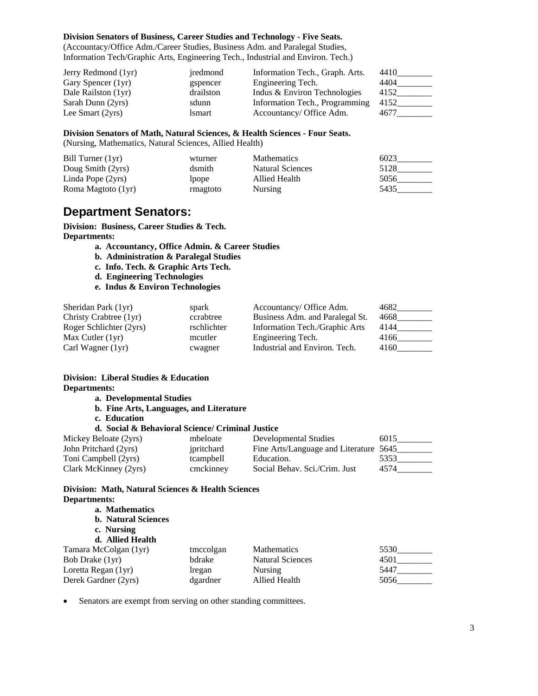#### **Division Senators of Business, Career Studies and Technology - Five Seats.**

(Accountacy/Office Adm./Career Studies, Business Adm. and Paralegal Studies, Information Tech/Graphic Arts, Engineering Tech., Industrial and Environ. Tech.)

| Jerry Redmond (1yr) | iredmond  | Information Tech., Graph. Arts. | 4410 |
|---------------------|-----------|---------------------------------|------|
| Gary Spencer (1yr)  | gspencer  | Engineering Tech.               | 4404 |
| Dale Railston (1yr) | drailston | Indus & Environ Technologies    | 4152 |
| Sarah Dunn (2yrs)   | sdunn     | Information Tech., Programming  | 4152 |
| Lee Smart (2yrs)    | lsmart    | Accountancy/ Office Adm.        | 4677 |

#### **Division Senators of Math, Natural Sciences, & Health Sciences - Four Seats.**

(Nursing, Mathematics, Natural Sciences, Allied Health)

| Bill Turner $(1yr)$ | wturner  | <b>Mathematics</b> | 6023 |
|---------------------|----------|--------------------|------|
| Doug Smith (2yrs)   | dsmith   | Natural Sciences   | 5128 |
| Linda Pope $(2yrs)$ | Ipope    | Allied Health      | 5056 |
| Roma Magtoto (1yr)  | rmagtoto | <b>Nursing</b>     | 5435 |

### **Department Senators:**

**Division: Business, Career Studies & Tech. Departments:** 

- **a. Accountancy, Office Admin. & Career Studies**
- **b. Administration & Paralegal Studies**
- **c. Info. Tech. & Graphic Arts Tech.**
- **d. Engineering Technologies**
- **e. Indus & Environ Technologies**

| Sheridan Park (1yr)     | spark       | Accountancy/ Office Adm.        | 4682 |
|-------------------------|-------------|---------------------------------|------|
| Christy Crabtree (1yr)  | ccrabtree   | Business Adm. and Paralegal St. | 4668 |
| Roger Schlichter (2yrs) | rschlichter | Information Tech./Graphic Arts  | 4144 |
| Max Cutler $(1yr)$      | mcutler     | Engineering Tech.               | 4166 |
| Carl Wagner (1yr)       | cwagner     | Industrial and Environ. Tech.   | 4160 |

#### **Division: Liberal Studies & Education Departments:**

- **a. Developmental Studies**
- **b. Fine Arts, Languages, and Literature**
- **c. Education**

#### **d. Social & Behavioral Science/ Criminal Justice**

| Mickey Beloate (2yrs) | mbeloate   | Developmental Studies                  | 6015 |
|-----------------------|------------|----------------------------------------|------|
| John Pritchard (2yrs) | ipritchard | Fine Arts/Language and Literature 5645 |      |
| Toni Campbell (2yrs)  | tcampbell  | Education.                             | 5353 |
| Clark McKinney (2yrs) | cmckinney  | Social Behav. Sci./Crim. Just          | 4574 |

### **Division: Math, Natural Sciences & Health Sciences Departments:**

| tmccolgan | <b>Mathematics</b>      | 5530 |
|-----------|-------------------------|------|
| bdrake    | <b>Natural Sciences</b> | 4501 |
| lregan    | Nursing                 | 5447 |
| dgardner  | Allied Health           | 5056 |
|           |                         |      |

• Senators are exempt from serving on other standing committees.